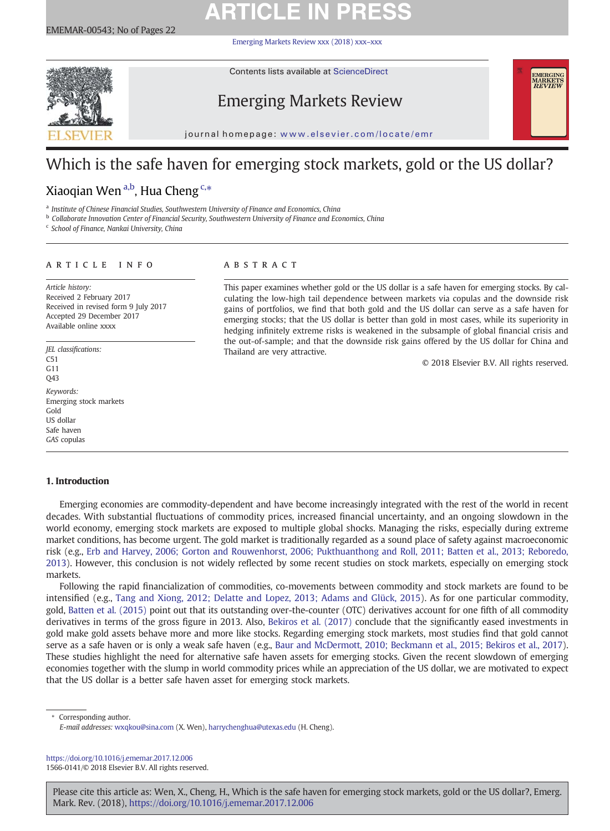# **ARTICLE IN PRESS**

[Emerging Markets Review xxx \(2018\) xxx](https://doi.org/10.1016/j.ememar.2017.12.006)–xxx



# Emerging Markets Review



journal homepage: <www.elsevier.com/locate/emr>

## Which is the safe haven for emerging stock markets, gold or the US dollar?

## Xiaoqian Wen  $a,b$ , Hua Cheng  $c,*$

<sup>a</sup> Institute of Chinese Financial Studies, Southwestern University of Finance and Economics, China

**b** Collaborate Innovation Center of Financial Security, Southwestern University of Finance and Economics, China

<sup>c</sup> School of Finance, Nankai University, China

### article info abstract

Article history: Received 2 February 2017 Received in revised form 9 July 2017 Accepted 29 December 2017 Available online xxxx

JEL classifications: C51 G11 Q43 Keywords: Emerging stock markets Gold US dollar Safe haven GAS copulas

This paper examines whether gold or the US dollar is a safe haven for emerging stocks. By calculating the low-high tail dependence between markets via copulas and the downside risk gains of portfolios, we find that both gold and the US dollar can serve as a safe haven for emerging stocks; that the US dollar is better than gold in most cases, while its superiority in hedging infinitely extreme risks is weakened in the subsample of global financial crisis and the out-of-sample; and that the downside risk gains offered by the US dollar for China and Thailand are very attractive.

© 2018 Elsevier B.V. All rights reserved.

### 1. Introduction

Emerging economies are commodity-dependent and have become increasingly integrated with the rest of the world in recent decades. With substantial fluctuations of commodity prices, increased financial uncertainty, and an ongoing slowdown in the world economy, emerging stock markets are exposed to multiple global shocks. Managing the risks, especially during extreme market conditions, has become urgent. The gold market is traditionally regarded as a sound place of safety against macroeconomic risk (e.g., [Erb and Harvey, 2006; Gorton and Rouwenhorst, 2006; Pukthuanthong and Roll, 2011; Batten et al., 2013; Reboredo,](#page--1-0) [2013](#page--1-0)). However, this conclusion is not widely reflected by some recent studies on stock markets, especially on emerging stock markets.

Following the rapid financialization of commodities, co-movements between commodity and stock markets are found to be intensified (e.g., [Tang and Xiong, 2012; Delatte and Lopez, 2013; Adams and Glück, 2015\)](#page--1-0). As for one particular commodity, gold, [Batten et al. \(2015\)](#page--1-0) point out that its outstanding over-the-counter (OTC) derivatives account for one fifth of all commodity derivatives in terms of the gross figure in 2013. Also, [Bekiros et al. \(2017\)](#page--1-0) conclude that the significantly eased investments in gold make gold assets behave more and more like stocks. Regarding emerging stock markets, most studies find that gold cannot serve as a safe haven or is only a weak safe haven (e.g., [Baur and McDermott, 2010; Beckmann et al., 2015; Bekiros et al., 2017](#page--1-0)). These studies highlight the need for alternative safe haven assets for emerging stocks. Given the recent slowdown of emerging economies together with the slump in world commodity prices while an appreciation of the US dollar, we are motivated to expect that the US dollar is a better safe haven asset for emerging stock markets.

Corresponding author. E-mail addresses: <wxqkou@sina.com> (X. Wen), <harrychenghua@utexas.edu> (H. Cheng).

<https://doi.org/10.1016/j.ememar.2017.12.006> 1566-0141/© 2018 Elsevier B.V. All rights reserved.

Please cite this article as: Wen, X., Cheng, H., Which is the safe haven for emerging stock markets, gold or the US dollar?, Emerg. Mark. Rev. (2018), <https://doi.org/10.1016/j.ememar.2017.12.006>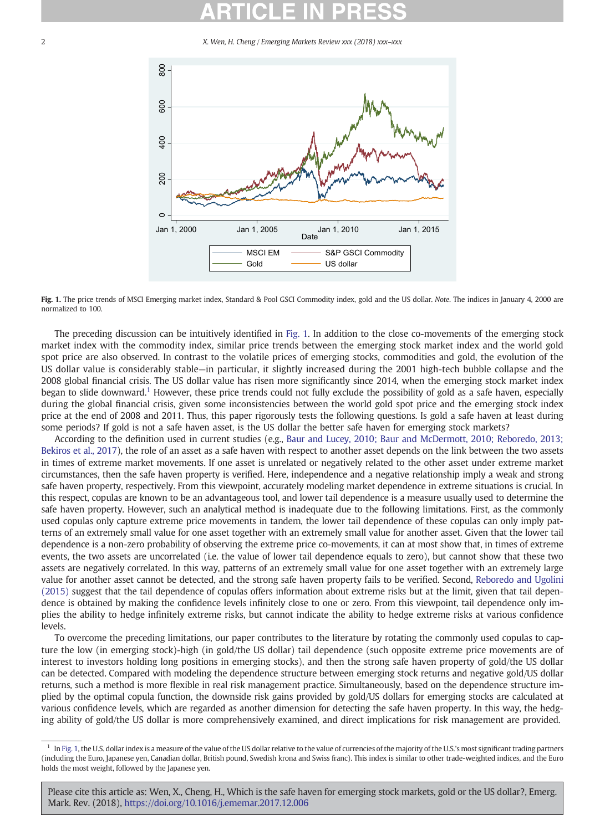2 X. Wen, H. Cheng / Emerging Markets Review xxx (2018) xxx–xxx



Fig. 1. The price trends of MSCI Emerging market index, Standard & Pool GSCI Commodity index, gold and the US dollar. Note. The indices in January 4, 2000 are normalized to 100.

The preceding discussion can be intuitively identified in Fig. 1. In addition to the close co-movements of the emerging stock market index with the commodity index, similar price trends between the emerging stock market index and the world gold spot price are also observed. In contrast to the volatile prices of emerging stocks, commodities and gold, the evolution of the US dollar value is considerably stable—in particular, it slightly increased during the 2001 high-tech bubble collapse and the 2008 global financial crisis. The US dollar value has risen more significantly since 2014, when the emerging stock market index began to slide downward.<sup>1</sup> However, these price trends could not fully exclude the possibility of gold as a safe haven, especially during the global financial crisis, given some inconsistencies between the world gold spot price and the emerging stock index price at the end of 2008 and 2011. Thus, this paper rigorously tests the following questions. Is gold a safe haven at least during some periods? If gold is not a safe haven asset, is the US dollar the better safe haven for emerging stock markets?

According to the definition used in current studies (e.g., [Baur and Lucey, 2010; Baur and McDermott, 2010; Reboredo, 2013;](#page--1-0) [Bekiros et al., 2017](#page--1-0)), the role of an asset as a safe haven with respect to another asset depends on the link between the two assets in times of extreme market movements. If one asset is unrelated or negatively related to the other asset under extreme market circumstances, then the safe haven property is verified. Here, independence and a negative relationship imply a weak and strong safe haven property, respectively. From this viewpoint, accurately modeling market dependence in extreme situations is crucial. In this respect, copulas are known to be an advantageous tool, and lower tail dependence is a measure usually used to determine the safe haven property. However, such an analytical method is inadequate due to the following limitations. First, as the commonly used copulas only capture extreme price movements in tandem, the lower tail dependence of these copulas can only imply patterns of an extremely small value for one asset together with an extremely small value for another asset. Given that the lower tail dependence is a non-zero probability of observing the extreme price co-movements, it can at most show that, in times of extreme events, the two assets are uncorrelated (i.e. the value of lower tail dependence equals to zero), but cannot show that these two assets are negatively correlated. In this way, patterns of an extremely small value for one asset together with an extremely large value for another asset cannot be detected, and the strong safe haven property fails to be verified. Second, [Reboredo and Ugolini](#page--1-0) [\(2015\)](#page--1-0) suggest that the tail dependence of copulas offers information about extreme risks but at the limit, given that tail dependence is obtained by making the confidence levels infinitely close to one or zero. From this viewpoint, tail dependence only implies the ability to hedge infinitely extreme risks, but cannot indicate the ability to hedge extreme risks at various confidence levels.

To overcome the preceding limitations, our paper contributes to the literature by rotating the commonly used copulas to capture the low (in emerging stock)-high (in gold/the US dollar) tail dependence (such opposite extreme price movements are of interest to investors holding long positions in emerging stocks), and then the strong safe haven property of gold/the US dollar can be detected. Compared with modeling the dependence structure between emerging stock returns and negative gold/US dollar returns, such a method is more flexible in real risk management practice. Simultaneously, based on the dependence structure implied by the optimal copula function, the downside risk gains provided by gold/US dollars for emerging stocks are calculated at various confidence levels, which are regarded as another dimension for detecting the safe haven property. In this way, the hedging ability of gold/the US dollar is more comprehensively examined, and direct implications for risk management are provided.

 $<sup>1</sup>$  In Fig. 1, the U.S. dollar index is a measure of the value of the US dollar relative to the value of currencies of the majority of the U.S.'s most significant trading partners</sup> (including the Euro, Japanese yen, Canadian dollar, British pound, Swedish krona and Swiss franc). This index is similar to other trade-weighted indices, and the Euro holds the most weight, followed by the Japanese yen.